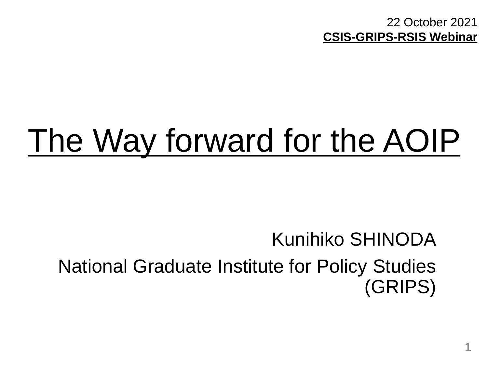22 October 2021 **CSIS-GRIPS-RSIS Webinar**

# The Way forward for the AOIP

# Kunihiko SHINODA National Graduate Institute for Policy Studies (GRIPS)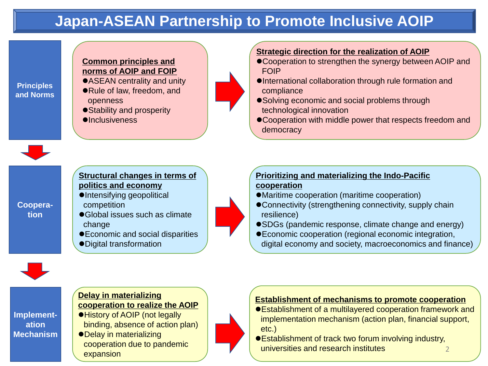## **Japan-ASEAN Partnership to Promote Inclusive AOIP**

**Principles and Norms**

#### **Common principles and norms of AOIP and FOIP**

- ASEAN centrality and unity Rule of law, freedom, and openness
- Stability and prosperity
- $\bullet$ **Inclusiveness**



**Cooperation**

#### **Structural changes in terms of politics and economy**

- ●Intensifying geopolitical competition
- Global issues such as climate change
- Economic and social disparities
- Digital transformation



#### **Strategic direction for the realization of AOIP**

- Cooperation to strengthen the synergy between AOIP and FOIP
- International collaboration through rule formation and compliance
- Solving economic and social problems through technological innovation
- Cooperation with middle power that respects freedom and democracy

#### **Prioritizing and materializing the Indo-Pacific cooperation**

- Maritime cooperation (maritime cooperation)
- Connectivity (strengthening connectivity, supply chain resilience)
- SDGs (pandemic response, climate change and energy)
- Economic cooperation (regional economic integration, digital economy and society, macroeconomics and finance)



**Implementation Mechanism**

#### **Delay in materializing cooperation to realize the AOIP**  History of AOIP (not legally binding, absence of action plan)

Delay in materializing cooperation due to pandemic expansion



#### **Establishment of mechanisms to promote cooperation**

- Establishment of a multilayered cooperation framework and implementation mechanism (action plan, financial support, etc.)
- Establishment of track two forum involving industry, universities and research institutes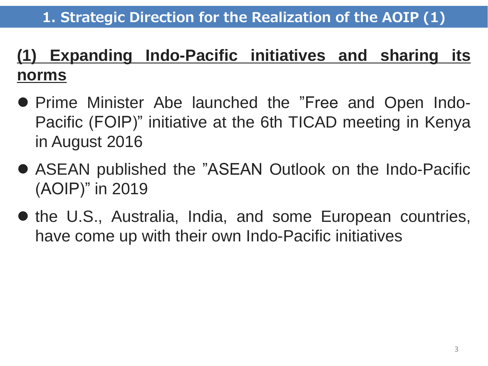# **(1) Expanding Indo-Pacific initiatives and sharing its norms**

- Prime Minister Abe launched the "Free and Open Indo-Pacific (FOIP)" initiative at the 6th TICAD meeting in Kenya in August 2016
- ASEAN published the "ASEAN Outlook on the Indo-Pacific (AOIP)" in 2019
- the U.S., Australia, India, and some European countries, have come up with their own Indo-Pacific initiatives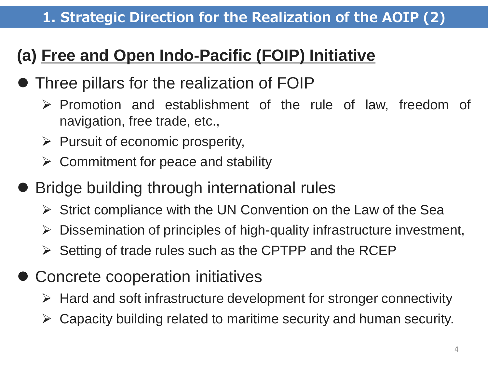# **(a) Free and Open Indo-Pacific (FOIP) Initiative**

# Three pillars for the realization of FOIP

- $\triangleright$  Promotion and establishment of the rule of law, freedom of navigation, free trade, etc.,
- $\triangleright$  Pursuit of economic prosperity,
- $\triangleright$  Commitment for peace and stability
- Bridge building through international rules
	- $\triangleright$  Strict compliance with the UN Convention on the Law of the Sea
	- $\triangleright$  Dissemination of principles of high-quality infrastructure investment,
	- $\triangleright$  Setting of trade rules such as the CPTPP and the RCEP
- **Concrete cooperation initiatives** 
	- $\triangleright$  Hard and soft infrastructure development for stronger connectivity
	- $\triangleright$  Capacity building related to maritime security and human security.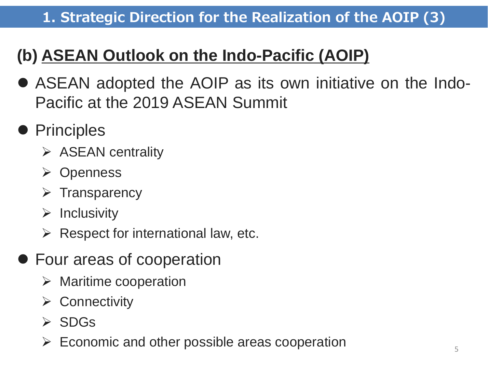## **1. Strategic Direction for the Realization of the AOIP (3)**

# **(b) ASEAN Outlook on the Indo-Pacific (AOIP)**

- ASEAN adopted the AOIP as its own initiative on the Indo-Pacific at the 2019 ASEAN Summit
- Principles
	- $\triangleright$  ASEAN centrality
	- **≻** Openness
	- $\triangleright$  Transparency
	- $\triangleright$  Inclusivity
	- $\triangleright$  Respect for international law, etc.
- Four areas of cooperation
	- $\triangleright$  Maritime cooperation
	- **≻** Connectivity
	- $\triangleright$  SDGs
	- $\triangleright$  Economic and other possible areas cooperation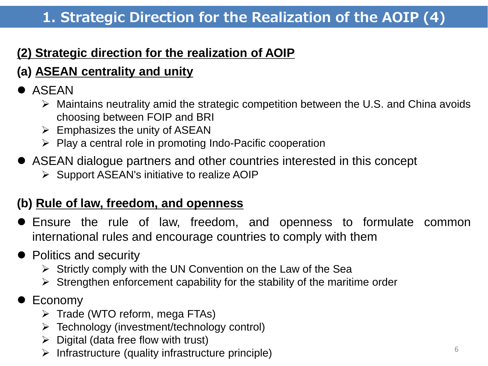## **1. Strategic Direction for the Realization of the AOIP (4)**

#### **(2) Strategic direction for the realization of AOIP**

## **(a) ASEAN centrality and unity**

## **• ASEAN**

- $\triangleright$  Maintains neutrality amid the strategic competition between the U.S. and China avoids choosing between FOIP and BRI
- $\triangleright$  Emphasizes the unity of ASEAN
- $\triangleright$  Play a central role in promoting Indo-Pacific cooperation
- ASEAN dialogue partners and other countries interested in this concept
	- $\triangleright$  Support ASEAN's initiative to realize AOIP

#### **(b) Rule of law, freedom, and openness**

- Ensure the rule of law, freedom, and openness to formulate common international rules and encourage countries to comply with them
- Politics and security
	- $\triangleright$  Strictly comply with the UN Convention on the Law of the Sea
	- $\triangleright$  Strengthen enforcement capability for the stability of the maritime order
- Economy
	- $\triangleright$  Trade (WTO reform, mega FTAs)
	- $\triangleright$  Technology (investment/technology control)
	- $\triangleright$  Digital (data free flow with trust)
	- $\triangleright$  Infrastructure (quality infrastructure principle) 6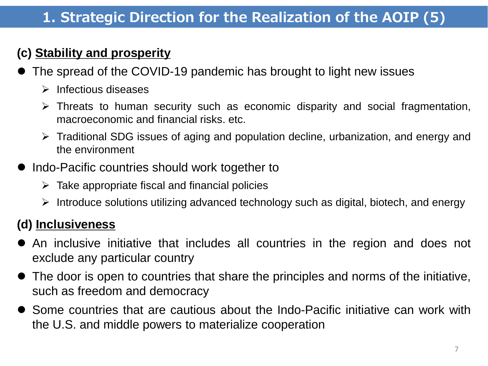## **(c) Stability and prosperity**

- The spread of the COVID-19 pandemic has brought to light new issues
	- $\triangleright$  Infectious diseases
	- $\triangleright$  Threats to human security such as economic disparity and social fragmentation, macroeconomic and financial risks. etc.
	- Traditional SDG issues of aging and population decline, urbanization, and energy and the environment
- $\bullet$  Indo-Pacific countries should work together to
	- $\triangleright$  Take appropriate fiscal and financial policies
	- $\triangleright$  Introduce solutions utilizing advanced technology such as digital, biotech, and energy

## **(d) Inclusiveness**

- An inclusive initiative that includes all countries in the region and does not exclude any particular country
- The door is open to countries that share the principles and norms of the initiative, such as freedom and democracy
- Some countries that are cautious about the Indo-Pacific initiative can work with the U.S. and middle powers to materialize cooperation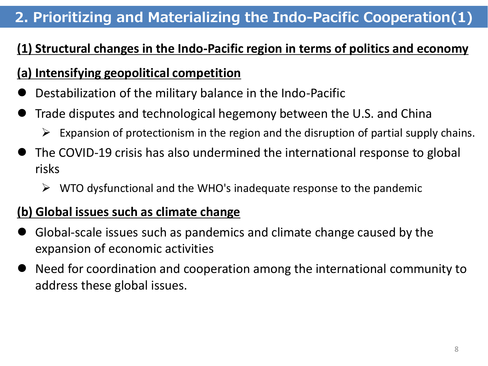## **2. Prioritizing and Materializing the Indo-Pacific Cooperation(1)**

## **(1) Structural changes in the Indo-Pacific region in terms of politics and economy**

#### **(a) Intensifying geopolitical competition**

- Destabilization of the military balance in the Indo-Pacific
- Trade disputes and technological hegemony between the U.S. and China
	- $\triangleright$  Expansion of protectionism in the region and the disruption of partial supply chains.
- The COVID-19 crisis has also undermined the international response to global risks
	- $\triangleright$  WTO dysfunctional and the WHO's inadequate response to the pandemic

#### **(b) Global issues such as climate change**

- Global-scale issues such as pandemics and climate change caused by the expansion of economic activities
- Need for coordination and cooperation among the international community to address these global issues.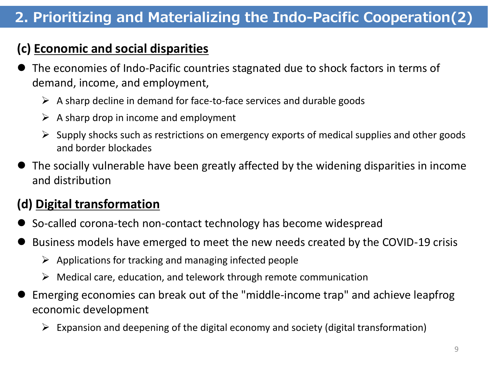## **2. Prioritizing and Materializing the Indo-Pacific Cooperation(2)**

#### **(c) Economic and social disparities**

- The economies of Indo-Pacific countries stagnated due to shock factors in terms of demand, income, and employment,
	- $\triangleright$  A sharp decline in demand for face-to-face services and durable goods
	- $\triangleright$  A sharp drop in income and employment
	- $\triangleright$  Supply shocks such as restrictions on emergency exports of medical supplies and other goods and border blockades
- The socially vulnerable have been greatly affected by the widening disparities in income and distribution

#### **(d) Digital transformation**

- So-called corona-tech non-contact technology has become widespread
- Business models have emerged to meet the new needs created by the COVID-19 crisis
	- $\triangleright$  Applications for tracking and managing infected people
	- $\triangleright$  Medical care, education, and telework through remote communication
- Emerging economies can break out of the "middle-income trap" and achieve leapfrog economic development
	- $\triangleright$  Expansion and deepening of the digital economy and society (digital transformation)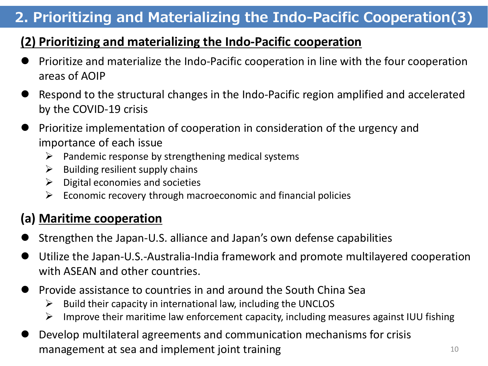## **2. Prioritizing and Materializing the Indo-Pacific Cooperation(3)**

#### **(2) Prioritizing and materializing the Indo-Pacific cooperation**

- Prioritize and materialize the Indo-Pacific cooperation in line with the four cooperation areas of AOIP
- Respond to the structural changes in the Indo-Pacific region amplified and accelerated by the COVID-19 crisis
- Prioritize implementation of cooperation in consideration of the urgency and importance of each issue
	- $\triangleright$  Pandemic response by strengthening medical systems
	- $\triangleright$  Building resilient supply chains
	- $\triangleright$  Digital economies and societies
	- $\triangleright$  Economic recovery through macroeconomic and financial policies

#### **(a) Maritime cooperation**

- Strengthen the Japan-U.S. alliance and Japan's own defense capabilities
- Utilize the Japan-U.S.-Australia-India framework and promote multilayered cooperation with ASEAN and other countries.
- Provide assistance to countries in and around the South China Sea
	- $\triangleright$  Build their capacity in international law, including the UNCLOS
	- $\triangleright$  Improve their maritime law enforcement capacity, including measures against IUU fishing
- Develop multilateral agreements and communication mechanisms for crisis management at sea and implement joint training  $10$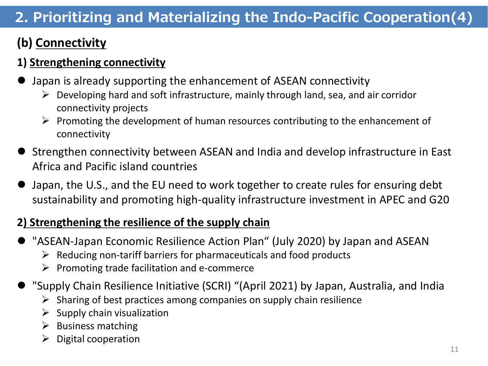## **2. Prioritizing and Materializing the Indo-Pacific Cooperation(4)**

## **(b) Connectivity**

#### **1) Strengthening connectivity**

- Japan is already supporting the enhancement of ASEAN connectivity
	- $\triangleright$  Developing hard and soft infrastructure, mainly through land, sea, and air corridor connectivity projects
	- $\triangleright$  Promoting the development of human resources contributing to the enhancement of connectivity
- Strengthen connectivity between ASEAN and India and develop infrastructure in East Africa and Pacific island countries
- Japan, the U.S., and the EU need to work together to create rules for ensuring debt sustainability and promoting high-quality infrastructure investment in APEC and G20

#### **2) Strengthening the resilience of the supply chain**

- "ASEAN-Japan Economic Resilience Action Plan" (July 2020) by Japan and ASEAN
	- $\triangleright$  Reducing non-tariff barriers for pharmaceuticals and food products
	- $\triangleright$  Promoting trade facilitation and e-commerce
- "Supply Chain Resilience Initiative (SCRI) "(April 2021) by Japan, Australia, and India
	- $\triangleright$  Sharing of best practices among companies on supply chain resilience
	- $\triangleright$  Supply chain visualization
	- $\triangleright$  Business matching
	- $\triangleright$  Digital cooperation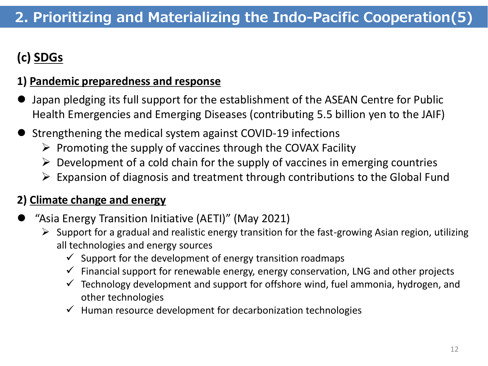## **(c) SDGs**

#### **1) Pandemic preparedness and response**

- Japan pledging its full support for the establishment of the ASEAN Centre for Public Health Emergencies and Emerging Diseases (contributing 5.5 billion yen to the JAIF)
- Strengthening the medical system against COVID-19 infections
	- $\triangleright$  Promoting the supply of vaccines through the COVAX Facility
	- $\triangleright$  Development of a cold chain for the supply of vaccines in emerging countries
	- $\triangleright$  Expansion of diagnosis and treatment through contributions to the Global Fund

#### **2) Climate change and energy**

- "Asia Energy Transition Initiative (AETI)" (May 2021)
	- $\triangleright$  Support for a gradual and realistic energy transition for the fast-growing Asian region, utilizing all technologies and energy sources
		- $\checkmark$  Support for the development of energy transition roadmaps
		- $\checkmark$  Financial support for renewable energy, energy conservation, LNG and other projects
		- $\checkmark$  Technology development and support for offshore wind, fuel ammonia, hydrogen, and other technologies
		- $\checkmark$  Human resource development for decarbonization technologies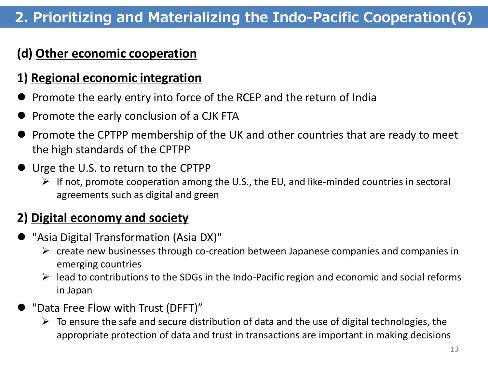## **2. Prioritizing and Materializing the Indo-Pacific Cooperation(6)**

#### **(d) Other economic cooperation**

#### **1) Regional economic integration**

- Promote the early entry into force of the RCEP and the return of India
- Promote the early conclusion of a CJK FTA
- Promote the CPTPP membership of the UK and other countries that are ready to meet the high standards of the CPTPP
- **If** Urge the U.S. to return to the CPTPP
	- $\triangleright$  If not, promote cooperation among the U.S., the EU, and like-minded countries in sectoral agreements such as digital and green

#### **2) Digital economy and society**

- "Asia Digital Transformation (Asia DX)"
	- $\triangleright$  create new businesses through co-creation between Japanese companies and companies in emerging countries
	- $\triangleright$  lead to contributions to the SDGs in the Indo-Pacific region and economic and social reforms in Japan
- "Data Free Flow with Trust (DFFT)"
	- $\triangleright$  To ensure the safe and secure distribution of data and the use of digital technologies, the appropriate protection of data and trust in transactions are important in making decisions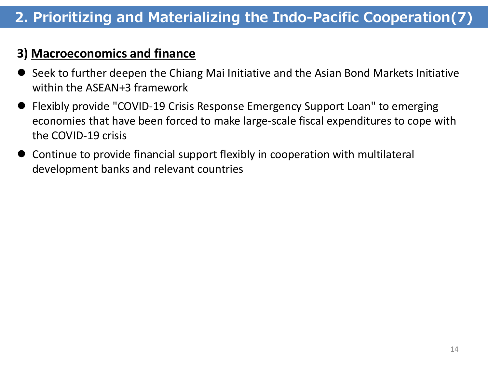#### **3) Macroeconomics and finance**

- Seek to further deepen the Chiang Mai Initiative and the Asian Bond Markets Initiative within the ASEAN+3 framework
- Flexibly provide "COVID-19 Crisis Response Emergency Support Loan" to emerging economies that have been forced to make large-scale fiscal expenditures to cope with the COVID-19 crisis
- Continue to provide financial support flexibly in cooperation with multilateral development banks and relevant countries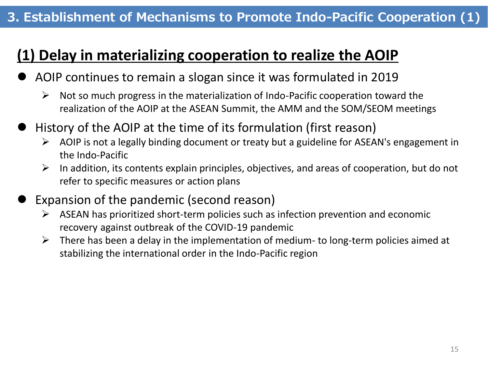#### **3. Establishment of Mechanisms to Promote Indo-Pacific Cooperation (1)**

## **(1) Delay in materializing cooperation to realize the AOIP**

- AOIP continues to remain a slogan since it was formulated in 2019
	- $\triangleright$  Not so much progress in the materialization of Indo-Pacific cooperation toward the realization of the AOIP at the ASEAN Summit, the AMM and the SOM/SEOM meetings
- History of the AOIP at the time of its formulation (first reason)
	- $\triangleright$  AOIP is not a legally binding document or treaty but a guideline for ASEAN's engagement in the Indo-Pacific
	- $\triangleright$  In addition, its contents explain principles, objectives, and areas of cooperation, but do not refer to specific measures or action plans
- Expansion of the pandemic (second reason)
	- $\triangleright$  ASEAN has prioritized short-term policies such as infection prevention and economic recovery against outbreak of the COVID-19 pandemic
	- $\triangleright$  There has been a delay in the implementation of medium- to long-term policies aimed at stabilizing the international order in the Indo-Pacific region